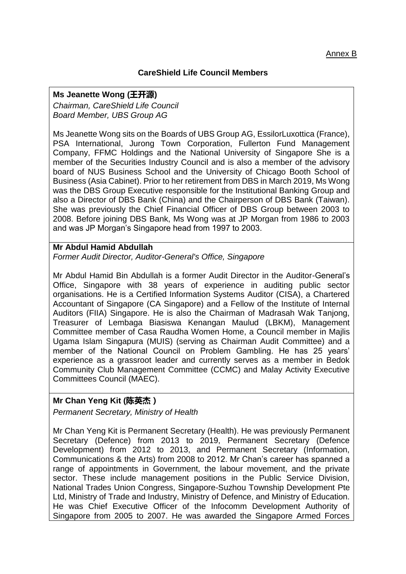### **CareShield Life Council Members**

#### **Ms Jeanette Wong (王开源)**

*Chairman, CareShield Life Council Board Member, UBS Group AG*

Ms Jeanette Wong sits on the Boards of UBS Group AG, EssilorLuxottica (France), PSA International, Jurong Town Corporation, Fullerton Fund Management Company, FFMC Holdings and the National University of Singapore She is a member of the Securities Industry Council and is also a member of the advisory board of NUS Business School and the University of Chicago Booth School of Business (Asia Cabinet). Prior to her retirement from DBS in March 2019, Ms Wong was the DBS Group Executive responsible for the Institutional Banking Group and also a Director of DBS Bank (China) and the Chairperson of DBS Bank (Taiwan). She was previously the Chief Financial Officer of DBS Group between 2003 to 2008. Before joining DBS Bank, Ms Wong was at JP Morgan from 1986 to 2003 and was JP Morgan's Singapore head from 1997 to 2003.

### **Mr Abdul Hamid Abdullah**

*Former Audit Director, Auditor-General's Office, Singapore*

Mr Abdul Hamid Bin Abdullah is a former Audit Director in the Auditor-General's Office, Singapore with 38 years of experience in auditing public sector organisations. He is a Certified Information Systems Auditor (CISA), a Chartered Accountant of Singapore (CA Singapore) and a Fellow of the Institute of Internal Auditors (FIIA) Singapore. He is also the Chairman of Madrasah Wak Tanjong, Treasurer of Lembaga Biasiswa Kenangan Maulud (LBKM), Management Committee member of Casa Raudha Women Home, a Council member in Majlis Ugama Islam Singapura (MUIS) (serving as Chairman Audit Committee) and a member of the National Council on Problem Gambling. He has 25 years' experience as a grassroot leader and currently serves as a member in Bedok Community Club Management Committee (CCMC) and Malay Activity Executive Committees Council (MAEC).

### **Mr Chan Yeng Kit (陈英杰)**

*Permanent Secretary, Ministry of Health*

Mr Chan Yeng Kit is Permanent Secretary (Health). He was previously Permanent Secretary (Defence) from 2013 to 2019, Permanent Secretary (Defence Development) from 2012 to 2013, and Permanent Secretary (Information, Communications & the Arts) from 2008 to 2012. Mr Chan's career has spanned a range of appointments in Government, the labour movement, and the private sector. These include management positions in the Public Service Division, National Trades Union Congress, Singapore-Suzhou Township Development Pte Ltd, Ministry of Trade and Industry, Ministry of Defence, and Ministry of Education. He was Chief Executive Officer of the Infocomm Development Authority of Singapore from 2005 to 2007. He was awarded the Singapore Armed Forces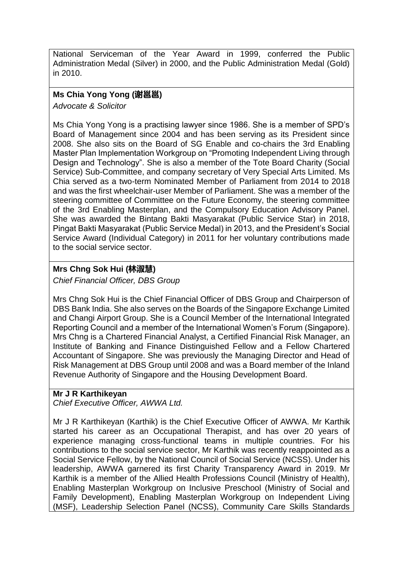National Serviceman of the Year Award in 1999, conferred the Public Administration Medal (Silver) in 2000, and the Public Administration Medal (Gold) in 2010.

# **Ms Chia Yong Yong (谢邕邕)**

*Advocate & Solicitor*

Ms Chia Yong Yong is a practising lawyer since 1986. She is a member of SPD's Board of Management since 2004 and has been serving as its President since 2008. She also sits on the Board of SG Enable and co-chairs the 3rd Enabling Master Plan Implementation Workgroup on "Promoting Independent Living through Design and Technology". She is also a member of the Tote Board Charity (Social Service) Sub-Committee, and company secretary of Very Special Arts Limited. Ms Chia served as a two-term Nominated Member of Parliament from 2014 to 2018 and was the first wheelchair-user Member of Parliament. She was a member of the steering committee of Committee on the Future Economy, the steering committee of the 3rd Enabling Masterplan, and the Compulsory Education Advisory Panel. She was awarded the Bintang Bakti Masyarakat (Public Service Star) in 2018, Pingat Bakti Masyarakat (Public Service Medal) in 2013, and the President's Social Service Award (Individual Category) in 2011 for her voluntary contributions made to the social service sector.

# **Mrs Chng Sok Hui (林淑慧)**

*Chief Financial Officer, DBS Group*

Mrs Chng Sok Hui is the Chief Financial Officer of DBS Group and Chairperson of DBS Bank India. She also serves on the Boards of the Singapore Exchange Limited and Changi Airport Group. She is a Council Member of the International Integrated Reporting Council and a member of the International Women's Forum (Singapore). Mrs Chng is a Chartered Financial Analyst, a Certified Financial Risk Manager, an Institute of Banking and Finance Distinguished Fellow and a Fellow Chartered Accountant of Singapore. She was previously the Managing Director and Head of Risk Management at DBS Group until 2008 and was a Board member of the Inland Revenue Authority of Singapore and the Housing Development Board.

## **Mr J R Karthikeyan**

*Chief Executive Officer, AWWA Ltd.*

Mr J R Karthikeyan (Karthik) is the Chief Executive Officer of AWWA. Mr Karthik started his career as an Occupational Therapist, and has over 20 years of experience managing cross-functional teams in multiple countries. For his contributions to the social service sector, Mr Karthik was recently reappointed as a Social Service Fellow, by the National Council of Social Service (NCSS). Under his leadership, AWWA garnered its first Charity Transparency Award in 2019. Mr Karthik is a member of the Allied Health Professions Council (Ministry of Health), Enabling Masterplan Workgroup on Inclusive Preschool (Ministry of Social and Family Development), Enabling Masterplan Workgroup on Independent Living (MSF), Leadership Selection Panel (NCSS), Community Care Skills Standards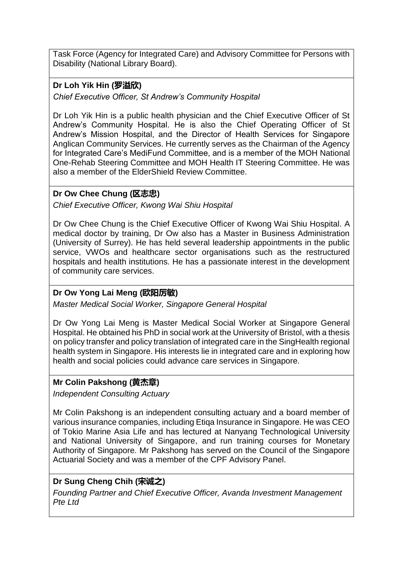Task Force (Agency for Integrated Care) and Advisory Committee for Persons with Disability (National Library Board).

# **Dr Loh Yik Hin (罗溢欣)**

*Chief Executive Officer, St Andrew's Community Hospital*

Dr Loh Yik Hin is a public health physician and the Chief Executive Officer of St Andrew's Community Hospital. He is also the Chief Operating Officer of St Andrew's Mission Hospital, and the Director of Health Services for Singapore Anglican Community Services. He currently serves as the Chairman of the Agency for Integrated Care's MediFund Committee, and is a member of the MOH National One-Rehab Steering Committee and MOH Health IT Steering Committee. He was also a member of the ElderShield Review Committee.

### **Dr Ow Chee Chung (区志忠)**

*Chief Executive Officer, Kwong Wai Shiu Hospital*

Dr Ow Chee Chung is the Chief Executive Officer of Kwong Wai Shiu Hospital. A medical doctor by training, Dr Ow also has a Master in Business Administration (University of Surrey). He has held several leadership appointments in the public service, VWOs and healthcare sector organisations such as the restructured hospitals and health institutions. He has a passionate interest in the development of community care services.

## **Dr Ow Yong Lai Meng (欧阳厉敏)**

*Master Medical Social Worker, Singapore General Hospital*

Dr Ow Yong Lai Meng is Master Medical Social Worker at Singapore General Hospital. He obtained his PhD in social work at the University of Bristol, with a thesis on policy transfer and policy translation of integrated care in the SingHealth regional health system in Singapore. His interests lie in integrated care and in exploring how health and social policies could advance care services in Singapore.

## **Mr Colin Pakshong (黄杰章)**

*Independent Consulting Actuary*

Mr Colin Pakshong is an independent consulting actuary and a board member of various insurance companies, including Etiqa Insurance in Singapore. He was CEO of Tokio Marine Asia Life and has lectured at Nanyang Technological University and National University of Singapore, and run training courses for Monetary Authority of Singapore. Mr Pakshong has served on the Council of the Singapore Actuarial Society and was a member of the CPF Advisory Panel.

# **Dr Sung Cheng Chih (宋诚之)**

*Founding Partner and Chief Executive Officer, Avanda Investment Management Pte Ltd*